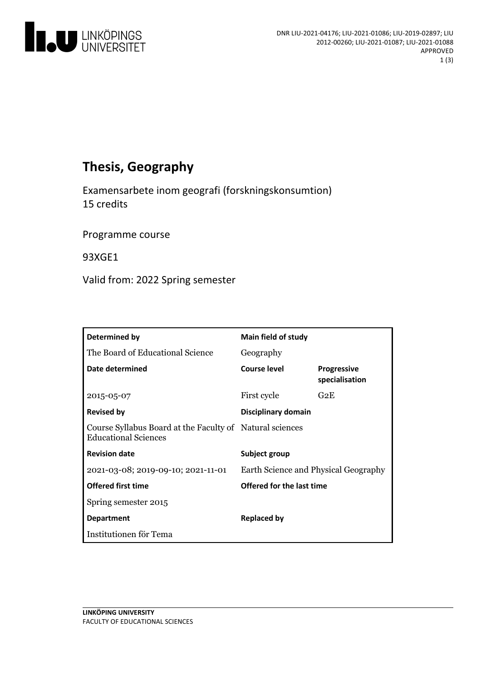

# **Thesis, Geography**

Examensarbete inom geografi (forskningskonsumtion) 15 credits

Programme course

93XGE1

Valid from: 2022 Spring semester

| Determined by                                                                           | <b>Main field of study</b>           |                                      |
|-----------------------------------------------------------------------------------------|--------------------------------------|--------------------------------------|
| The Board of Educational Science                                                        | Geography                            |                                      |
| Date determined                                                                         | Course level                         | <b>Progressive</b><br>specialisation |
| 2015-05-07                                                                              | First cycle                          | G2E                                  |
| <b>Revised by</b>                                                                       | <b>Disciplinary domain</b>           |                                      |
| Course Syllabus Board at the Faculty of Natural sciences<br><b>Educational Sciences</b> |                                      |                                      |
| <b>Revision date</b>                                                                    | Subject group                        |                                      |
| 2021-03-08; 2019-09-10; 2021-11-01                                                      | Earth Science and Physical Geography |                                      |
| <b>Offered first time</b>                                                               | Offered for the last time            |                                      |
| Spring semester 2015                                                                    |                                      |                                      |
| <b>Department</b>                                                                       | Replaced by                          |                                      |
| Institutionen för Tema                                                                  |                                      |                                      |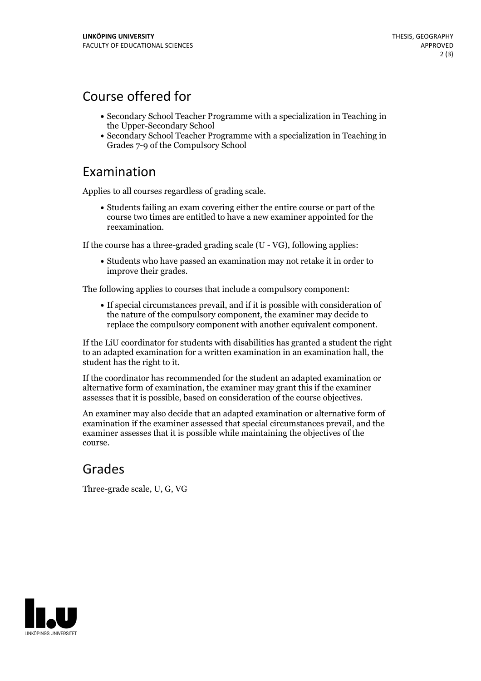## Course offered for

- Secondary School Teacher Programme with a specialization in Teaching in the Upper-Secondary School
- Secondary School Teacher Programme with a specialization in Teaching in Grades 7-9 of the Compulsory School

#### Examination

Applies to all courses regardless of grading scale.

Students failing an exam covering either the entire course or part of the course two times are entitled to have a new examiner appointed for the reexamination.

If the course has a three-graded grading scale (U - VG), following applies:

Students who have passed an examination may not retake it in order to improve their grades.

The following applies to courses that include a compulsory component:

If special circumstances prevail, and if it is possible with consideration of the nature of the compulsory component, the examiner may decide to replace the compulsory component with another equivalent component.

If the LiU coordinator for students with disabilities has granted a student the right to an adapted examination for a written examination in an examination hall, the student has the right to it.

If the coordinator has recommended for the student an adapted examination or alternative form of examination, the examiner may grant this ifthe examiner assesses that it is possible, based on consideration of the course objectives.

An examiner may also decide that an adapted examination or alternative form of examination if the examiner assessed that special circumstances prevail, and the examiner assesses that it is possible while maintaining the objectives of the course.

## Grades

Three-grade scale, U, G, VG